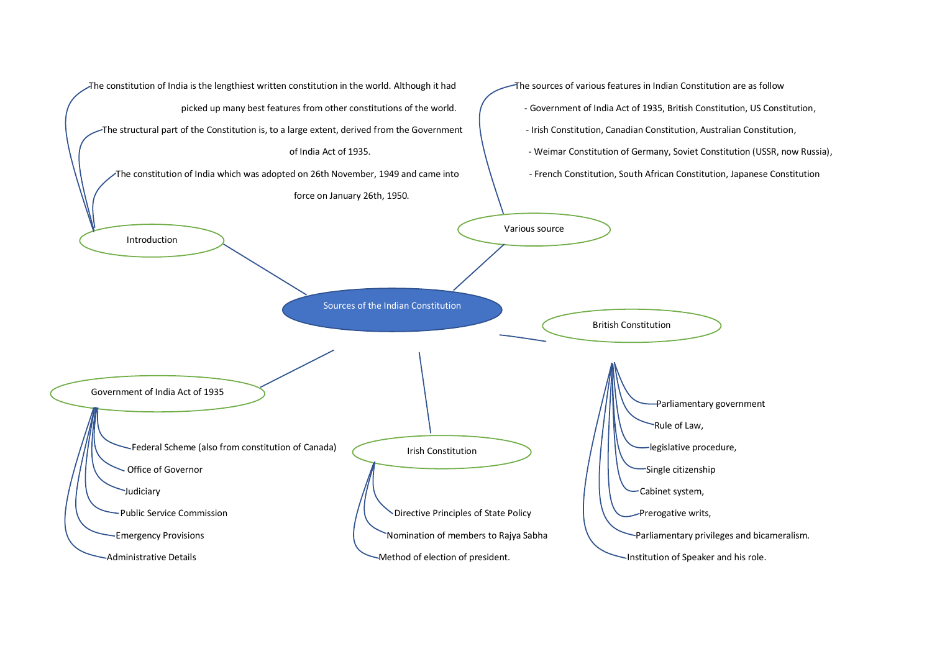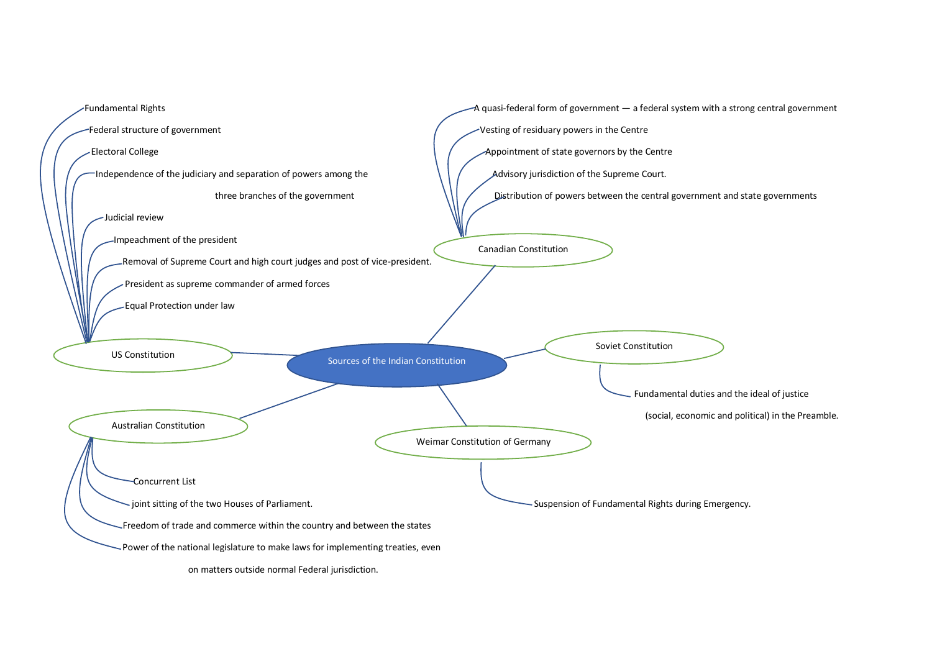